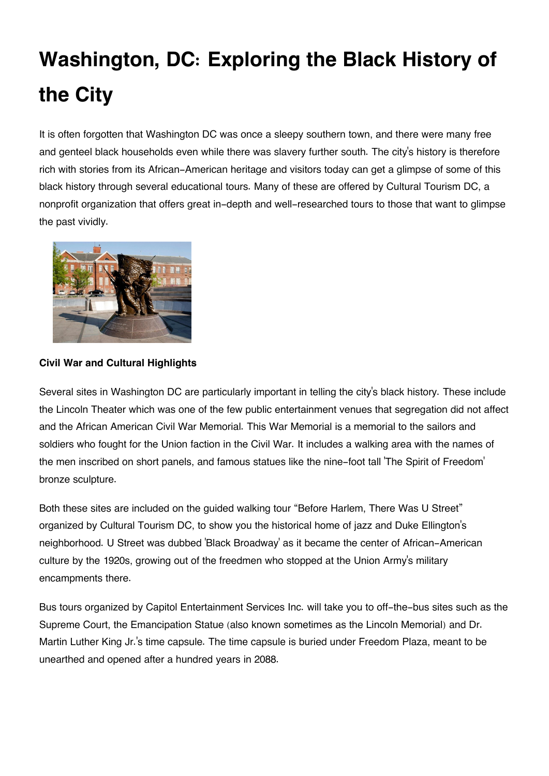# **Washington, DC: Exploring the Black History of the City**

It is often forgotten that Washington DC was once a sleepy southern town, and there were many free and genteel black households even while there was slavery further south. The city's history is therefore rich with stories from its African-American heritage and visitors today can get a glimpse of some of this black history through several educational tours. Many of these are offered by Cultural Tourism DC, a nonprofit organization that offers great in-depth and well-researched tours to those that want to glimpse the past vividly.



# **Civil War and Cultural Highlights**

Several sites in Washington DC are particularly important in telling the city's black history. These include the Lincoln Theater which was one of the few public entertainment venues that segregation did not affect and the African American Civil War Memorial. This War Memorial is a memorial to the sailors and soldiers who fought for the Union faction in the Civil War. It includes a walking area with the names of the men inscribed on short panels, and famous statues like the nine-foot tall 'The Spirit of Freedom' bronze sculpture.

Both these sites are included on the guided walking tour "Before Harlem, There Was U Street" organized by Cultural Tourism DC, to show you the historical home of jazz and Duke Ellington's neighborhood. U Street was dubbed 'Black Broadway' as it became the center of African-American culture by the 1920s, growing out of the freedmen who stopped at the Union Army's military encampments there.

Bus tours organized by Capitol Entertainment Services Inc. will take you to off-the-bus sites such as the Supreme Court, the Emancipation Statue (also known sometimes as the Lincoln Memorial) and Dr. Martin Luther King Jr.'s time capsule. The time capsule is buried under Freedom Plaza, meant to be unearthed and opened after a hundred years in 2088.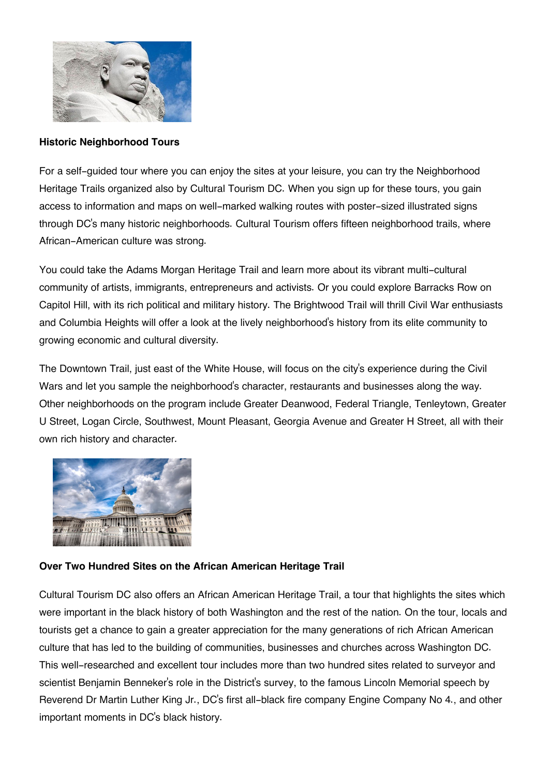

#### **Historic Neighborhood Tours**

For a self-guided tour where you can enjoy the sites at your leisure, you can try the Neighborhood Heritage Trails organized also by Cultural Tourism DC. When you sign up for these tours, you gain access to information and maps on well-marked walking routes with poster-sized illustrated signs through DC's many historic neighborhoods. Cultural Tourism offers fifteen neighborhood trails, where African-American culture was strong.

You could take the Adams Morgan Heritage Trail and learn more about its vibrant multi-cultural community of artists, immigrants, entrepreneurs and activists. Or you could explore Barracks Row on Capitol Hill, with its rich political and military history. The Brightwood Trail will thrill Civil War enthusiasts and Columbia Heights will offer a look at the lively neighborhood's history from its elite community to growing economic and cultural diversity.

The Downtown Trail, just east of the White House, will focus on the city's experience during the Civil Wars and let you sample the neighborhood's character, restaurants and businesses along the way. Other neighborhoods on the program include Greater Deanwood, Federal Triangle, Tenleytown, Greater U Street, Logan Circle, Southwest, Mount Pleasant, Georgia Avenue and Greater H Street, all with their own rich history and character.



## **Over Two Hundred Sites on the African American Heritage Trail**

Cultural Tourism DC also offers an African American Heritage Trail, a tour that highlights the sites which were important in the black history of both Washington and the rest of the nation. On the tour, locals and tourists get a chance to gain a greater appreciation for the many generations of rich African American culture that has led to the building of communities, businesses and churches across Washington DC. This well-researched and excellent tour includes more than two hundred sites related to surveyor and scientist Benjamin Benneker's role in the District's survey, to the famous Lincoln Memorial speech by Reverend Dr Martin Luther King Jr., DC's first all-black fire company Engine Company No 4., and other important moments in DC's black history.